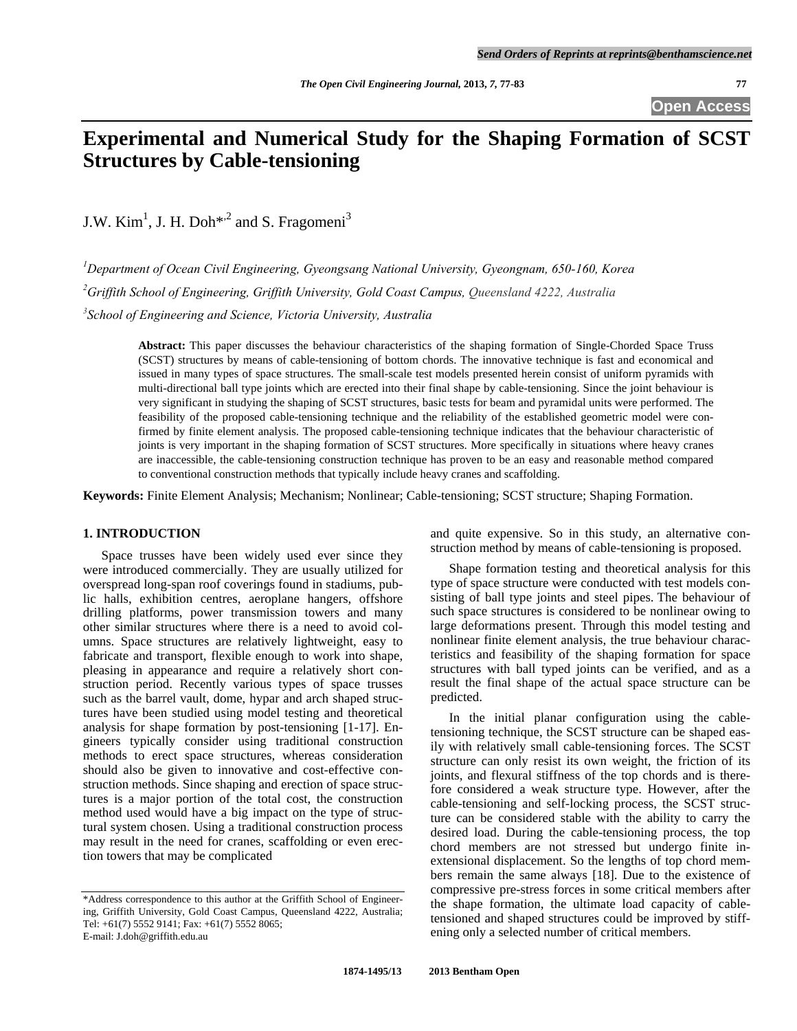**Open Access** 

# **Experimental and Numerical Study for the Shaping Formation of SCST Structures by Cable-tensioning**

J.W.  $Kim<sup>1</sup>$ , J. H. Doh<sup>\*-2</sup> and S. Fragomeni<sup>3</sup>

*1 Department of Ocean Civil Engineering, Gyeongsang National University, Gyeongnam, 650-160, Korea 2 Griffith School of Engineering, Griffith University, Gold Coast Campus, Queensland 4222, Australia 3 School of Engineering and Science, Victoria University, Australia* 

**Abstract:** This paper discusses the behaviour characteristics of the shaping formation of Single-Chorded Space Truss (SCST) structures by means of cable-tensioning of bottom chords. The innovative technique is fast and economical and issued in many types of space structures. The small-scale test models presented herein consist of uniform pyramids with multi-directional ball type joints which are erected into their final shape by cable-tensioning. Since the joint behaviour is very significant in studying the shaping of SCST structures, basic tests for beam and pyramidal units were performed. The feasibility of the proposed cable-tensioning technique and the reliability of the established geometric model were confirmed by finite element analysis. The proposed cable-tensioning technique indicates that the behaviour characteristic of joints is very important in the shaping formation of SCST structures. More specifically in situations where heavy cranes are inaccessible, the cable-tensioning construction technique has proven to be an easy and reasonable method compared to conventional construction methods that typically include heavy cranes and scaffolding.

**Keywords:** Finite Element Analysis; Mechanism; Nonlinear; Cable-tensioning; SCST structure; Shaping Formation.

#### **1. INTRODUCTION**

 Space trusses have been widely used ever since they were introduced commercially. They are usually utilized for overspread long-span roof coverings found in stadiums, public halls, exhibition centres, aeroplane hangers, offshore drilling platforms, power transmission towers and many other similar structures where there is a need to avoid columns. Space structures are relatively lightweight, easy to fabricate and transport, flexible enough to work into shape, pleasing in appearance and require a relatively short construction period. Recently various types of space trusses such as the barrel vault, dome, hypar and arch shaped structures have been studied using model testing and theoretical analysis for shape formation by post-tensioning [1-17]. Engineers typically consider using traditional construction methods to erect space structures, whereas consideration should also be given to innovative and cost-effective construction methods. Since shaping and erection of space structures is a major portion of the total cost, the construction method used would have a big impact on the type of structural system chosen. Using a traditional construction process may result in the need for cranes, scaffolding or even erection towers that may be complicated

and quite expensive. So in this study, an alternative construction method by means of cable-tensioning is proposed.

 Shape formation testing and theoretical analysis for this type of space structure were conducted with test models consisting of ball type joints and steel pipes. The behaviour of such space structures is considered to be nonlinear owing to large deformations present. Through this model testing and nonlinear finite element analysis, the true behaviour characteristics and feasibility of the shaping formation for space structures with ball typed joints can be verified, and as a result the final shape of the actual space structure can be predicted.

 In the initial planar configuration using the cabletensioning technique, the SCST structure can be shaped easily with relatively small cable-tensioning forces. The SCST structure can only resist its own weight, the friction of its joints, and flexural stiffness of the top chords and is therefore considered a weak structure type. However, after the cable-tensioning and self-locking process, the SCST structure can be considered stable with the ability to carry the desired load. During the cable-tensioning process, the top chord members are not stressed but undergo finite inextensional displacement. So the lengths of top chord members remain the same always [18]. Due to the existence of compressive pre-stress forces in some critical members after the shape formation, the ultimate load capacity of cabletensioned and shaped structures could be improved by stiffening only a selected number of critical members.

<sup>\*</sup>Address correspondence to this author at the Griffith School of Engineering, Griffith University, Gold Coast Campus, Queensland 4222, Australia; Tel: +61(7) 5552 9141; Fax: +61(7) 5552 8065; E-mail: J.doh@griffith.edu.au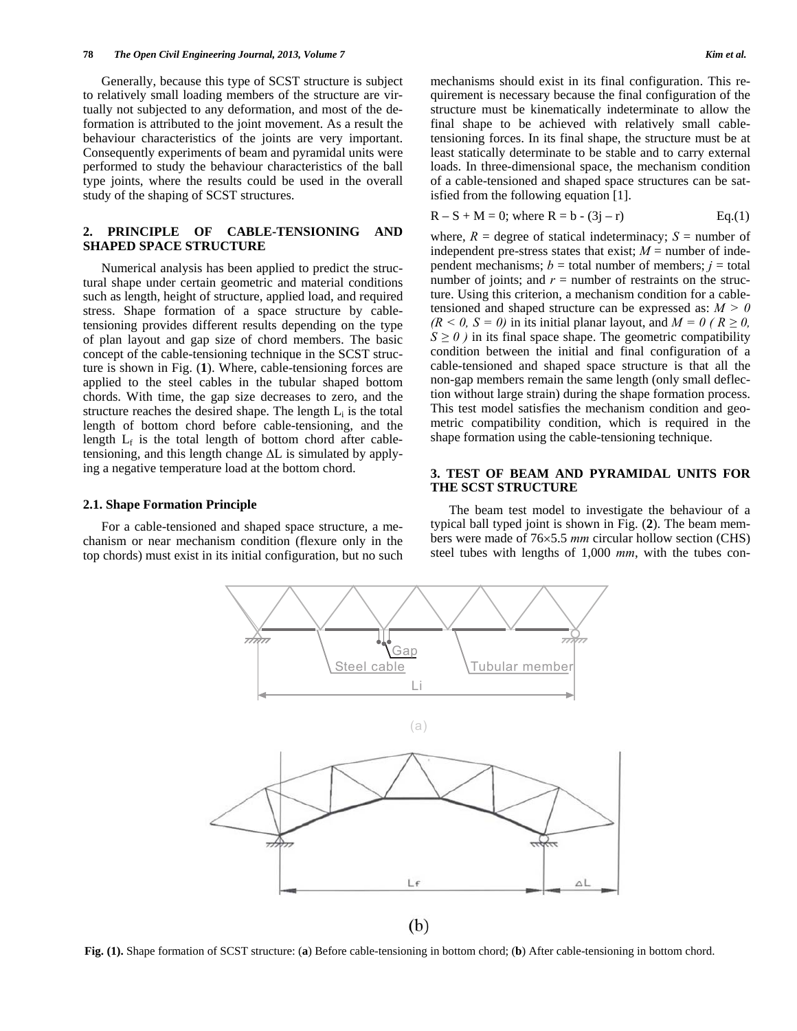Generally, because this type of SCST structure is subject to relatively small loading members of the structure are virtually not subjected to any deformation, and most of the deformation is attributed to the joint movement. As a result the behaviour characteristics of the joints are very important. Consequently experiments of beam and pyramidal units were performed to study the behaviour characteristics of the ball type joints, where the results could be used in the overall study of the shaping of SCST structures.

#### **2. PRINCIPLE OF CABLE-TENSIONING AND SHAPED SPACE STRUCTURE**

 Numerical analysis has been applied to predict the structural shape under certain geometric and material conditions such as length, height of structure, applied load, and required stress. Shape formation of a space structure by cabletensioning provides different results depending on the type of plan layout and gap size of chord members. The basic concept of the cable-tensioning technique in the SCST structure is shown in Fig. (**1**). Where, cable-tensioning forces are applied to the steel cables in the tubular shaped bottom chords. With time, the gap size decreases to zero, and the structure reaches the desired shape. The length  $L_i$  is the total length of bottom chord before cable-tensioning, and the length  $L_f$  is the total length of bottom chord after cabletensioning, and this length change  $\Delta L$  is simulated by applying a negative temperature load at the bottom chord.

#### **2.1. Shape Formation Principle**

 For a cable-tensioned and shaped space structure, a mechanism or near mechanism condition (flexure only in the top chords) must exist in its initial configuration, but no such mechanisms should exist in its final configuration. This requirement is necessary because the final configuration of the structure must be kinematically indeterminate to allow the final shape to be achieved with relatively small cabletensioning forces. In its final shape, the structure must be at least statically determinate to be stable and to carry external loads. In three-dimensional space, the mechanism condition of a cable-tensioned and shaped space structures can be satisfied from the following equation [1].

$$
R - S + M = 0
$$
; where  $R = b - (3j - r)$  Eq.(1)

where,  $R =$  degree of statical indeterminacy;  $S =$  number of independent pre-stress states that exist;  $M =$  number of independent mechanisms;  $b =$  total number of members;  $j =$  total number of joints; and  $r =$  number of restraints on the structure. Using this criterion, a mechanism condition for a cabletensioned and shaped structure can be expressed as: *M > 0*   $(R < 0, S = 0)$  in its initial planar layout, and  $M = 0$  ( $R \ge 0$ ,  $S \ge 0$  ) in its final space shape. The geometric compatibility condition between the initial and final configuration of a cable-tensioned and shaped space structure is that all the non-gap members remain the same length (only small deflection without large strain) during the shape formation process. This test model satisfies the mechanism condition and geometric compatibility condition, which is required in the shape formation using the cable-tensioning technique.

## **3. TEST OF BEAM AND PYRAMIDAL UNITS FOR THE SCST STRUCTURE**

 The beam test model to investigate the behaviour of a typical ball typed joint is shown in Fig. (**2**). The beam members were made of 76×5.5 *mm* circular hollow section (CHS) steel tubes with lengths of 1,000 *mm*, with the tubes con-



**Fig. (1).** Shape formation of SCST structure: (**a**) Before cable-tensioning in bottom chord; (**b**) After cable-tensioning in bottom chord.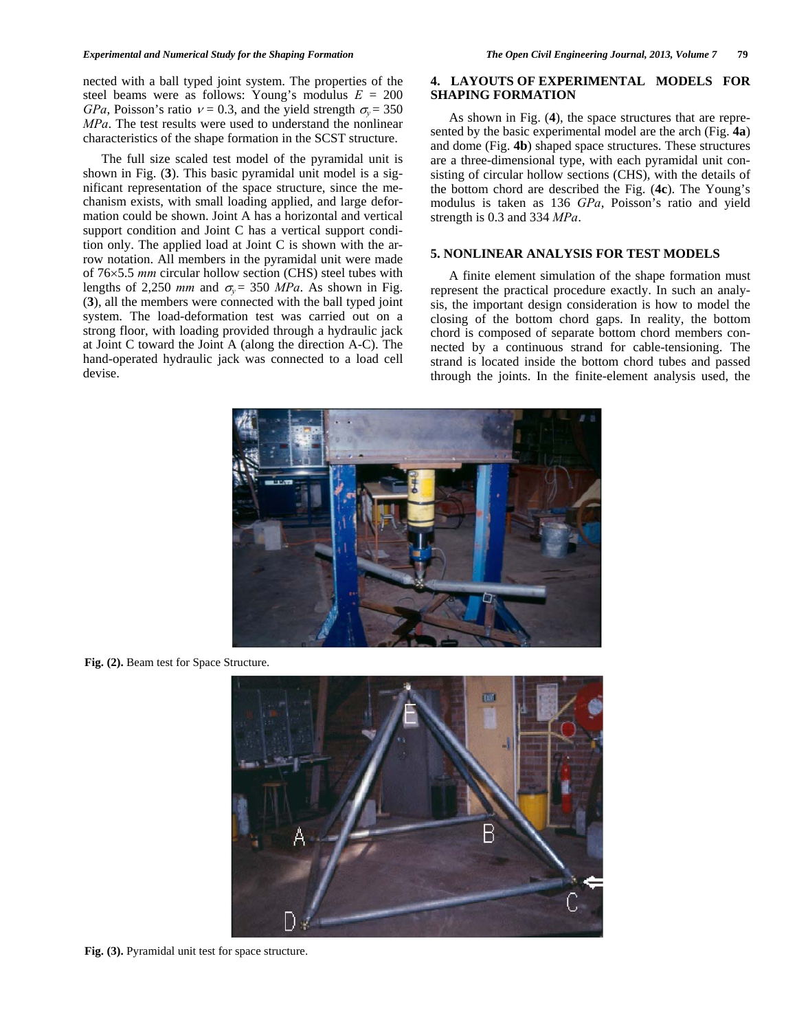nected with a ball typed joint system. The properties of the steel beams were as follows: Young's modulus *E* = 200 *GPa*, Poisson's ratio  $v = 0.3$ , and the yield strength  $\sigma_v = 350$ *MPa*. The test results were used to understand the nonlinear characteristics of the shape formation in the SCST structure.

 The full size scaled test model of the pyramidal unit is shown in Fig. (**3**). This basic pyramidal unit model is a significant representation of the space structure, since the mechanism exists, with small loading applied, and large deformation could be shown. Joint A has a horizontal and vertical support condition and Joint C has a vertical support condition only. The applied load at Joint C is shown with the arrow notation. All members in the pyramidal unit were made of 765.5 *mm* circular hollow section (CHS) steel tubes with lengths of 2,250 *mm* and  $\sigma_v = 350$  *MPa*. As shown in Fig. (**3**), all the members were connected with the ball typed joint system. The load-deformation test was carried out on a strong floor, with loading provided through a hydraulic jack at Joint C toward the Joint A (along the direction A-C). The hand-operated hydraulic jack was connected to a load cell devise.

### **4. LAYOUTS OF EXPERIMENTAL MODELS FOR SHAPING FORMATION**

 As shown in Fig. (**4**), the space structures that are represented by the basic experimental model are the arch (Fig. **4a**) and dome (Fig. **4b**) shaped space structures. These structures are a three-dimensional type, with each pyramidal unit consisting of circular hollow sections (CHS), with the details of the bottom chord are described the Fig. (**4c**). The Young's modulus is taken as 136 *GPa*, Poisson's ratio and yield strength is 0.3 and 334 *MPa*.

#### **5. NONLINEAR ANALYSIS FOR TEST MODELS**

 A finite element simulation of the shape formation must represent the practical procedure exactly. In such an analysis, the important design consideration is how to model the closing of the bottom chord gaps. In reality, the bottom chord is composed of separate bottom chord members connected by a continuous strand for cable-tensioning. The strand is located inside the bottom chord tubes and passed through the joints. In the finite-element analysis used, the



Fig. (2). Beam test for Space Structure.



**Fig. (3).** Pyramidal unit test for space structure.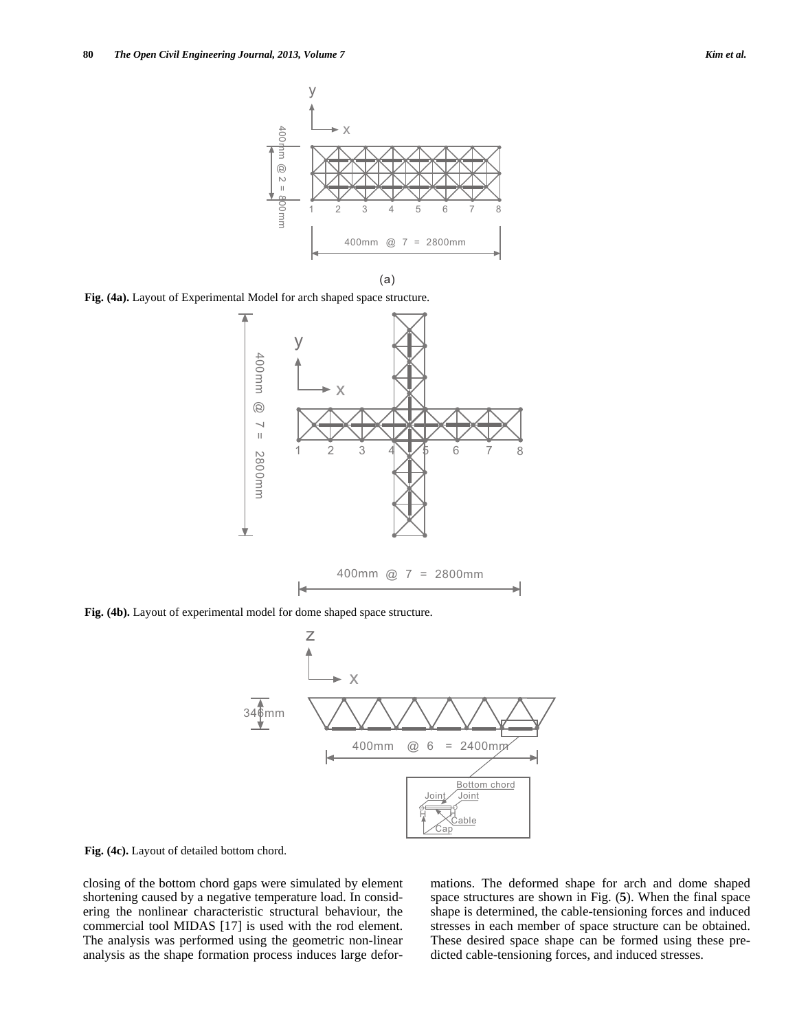

 $(a)$ 

**Fig. (4a).** Layout of Experimental Model for arch shaped space structure.



**Fig. (4b).** Layout of experimental model for dome shaped space structure.



**Fig. (4c).** Layout of detailed bottom chord.

closing of the bottom chord gaps were simulated by element shortening caused by a negative temperature load. In considering the nonlinear characteristic structural behaviour, the commercial tool MIDAS [17] is used with the rod element. The analysis was performed using the geometric non-linear analysis as the shape formation process induces large deformations. The deformed shape for arch and dome shaped space structures are shown in Fig. (**5**). When the final space shape is determined, the cable-tensioning forces and induced stresses in each member of space structure can be obtained. These desired space shape can be formed using these predicted cable-tensioning forces, and induced stresses.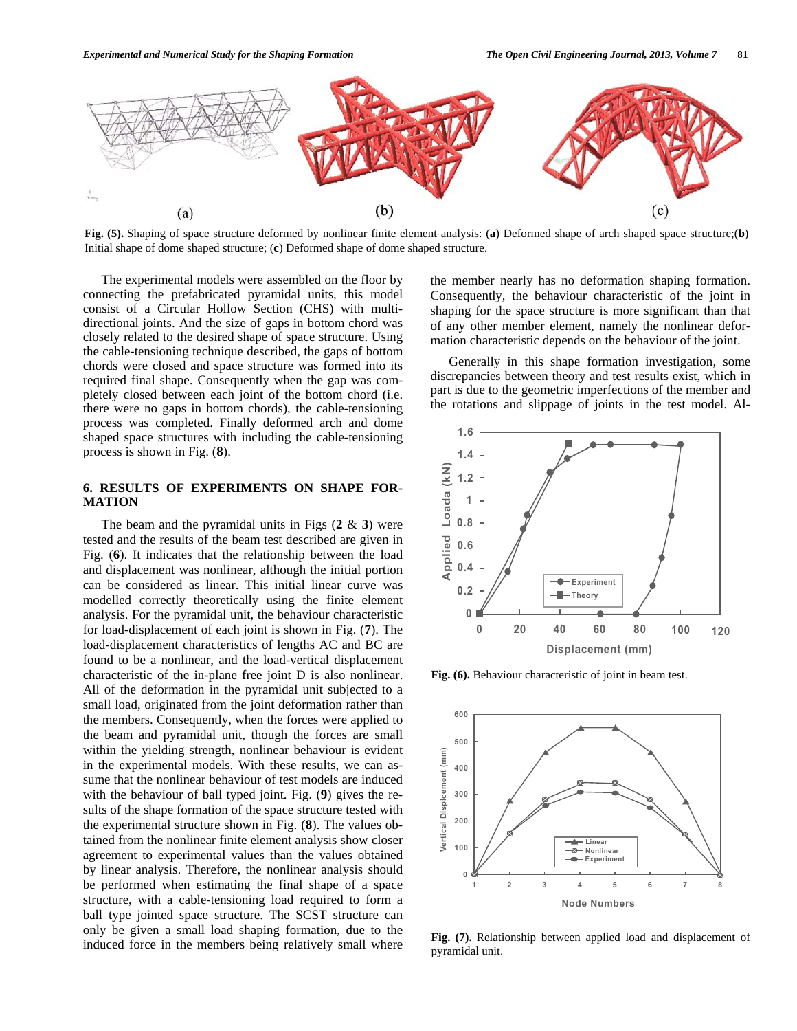

**Fig. (5).** Shaping of space structure deformed by nonlinear finite element analysis: (**a**) Deformed shape of arch shaped space structure;(**b**) Initial shape of dome shaped structure; (**c**) Deformed shape of dome shaped structure.

 The experimental models were assembled on the floor by connecting the prefabricated pyramidal units, this model consist of a Circular Hollow Section (CHS) with multidirectional joints. And the size of gaps in bottom chord was closely related to the desired shape of space structure. Using the cable-tensioning technique described, the gaps of bottom chords were closed and space structure was formed into its required final shape. Consequently when the gap was completely closed between each joint of the bottom chord (i.e. there were no gaps in bottom chords), the cable-tensioning process was completed. Finally deformed arch and dome shaped space structures with including the cable-tensioning process is shown in Fig. (**8**).

### **6. RESULTS OF EXPERIMENTS ON SHAPE FOR-MATION**

 The beam and the pyramidal units in Figs (**2** & **3**) were tested and the results of the beam test described are given in Fig. (**6**). It indicates that the relationship between the load and displacement was nonlinear, although the initial portion can be considered as linear. This initial linear curve was modelled correctly theoretically using the finite element analysis. For the pyramidal unit, the behaviour characteristic for load-displacement of each joint is shown in Fig. (**7**). The load-displacement characteristics of lengths AC and BC are found to be a nonlinear, and the load-vertical displacement characteristic of the in-plane free joint D is also nonlinear. All of the deformation in the pyramidal unit subjected to a small load, originated from the joint deformation rather than the members. Consequently, when the forces were applied to the beam and pyramidal unit, though the forces are small within the yielding strength, nonlinear behaviour is evident in the experimental models. With these results, we can assume that the nonlinear behaviour of test models are induced with the behaviour of ball typed joint. Fig. (**9**) gives the results of the shape formation of the space structure tested with the experimental structure shown in Fig. (**8**). The values obtained from the nonlinear finite element analysis show closer agreement to experimental values than the values obtained by linear analysis. Therefore, the nonlinear analysis should be performed when estimating the final shape of a space structure, with a cable-tensioning load required to form a ball type jointed space structure. The SCST structure can only be given a small load shaping formation, due to the induced force in the members being relatively small where the member nearly has no deformation shaping formation. Consequently, the behaviour characteristic of the joint in shaping for the space structure is more significant than that of any other member element, namely the nonlinear deformation characteristic depends on the behaviour of the joint.

 Generally in this shape formation investigation, some discrepancies between theory and test results exist, which in part is due to the geometric imperfections of the member and the rotations and slippage of joints in the test model. Al-



**Fig. (6).** Behaviour characteristic of joint in beam test.



**Fig. (7).** Relationship between applied load and displacement of pyramidal unit.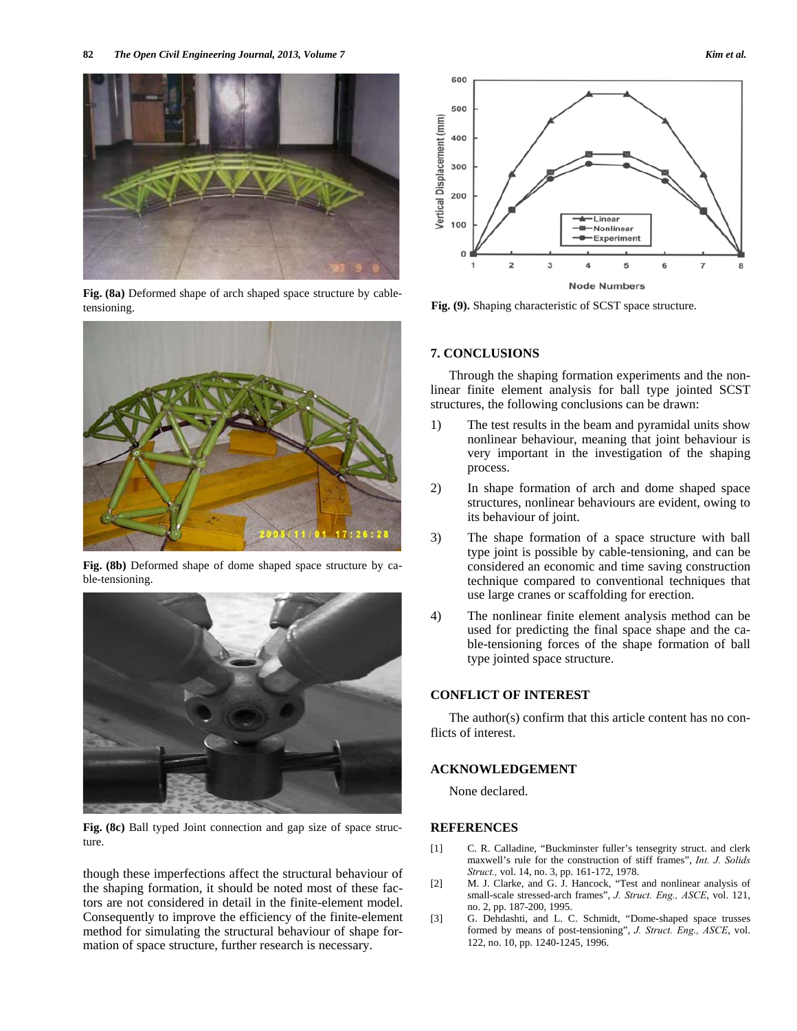

**Fig. (8a)** Deformed shape of arch shaped space structure by cabletensioning.



**Fig. (8b)** Deformed shape of dome shaped space structure by cable-tensioning.



**Fig. (8c)** Ball typed Joint connection and gap size of space structure.

though these imperfections affect the structural behaviour of the shaping formation, it should be noted most of these factors are not considered in detail in the finite-element model. Consequently to improve the efficiency of the finite-element method for simulating the structural behaviour of shape formation of space structure, further research is necessary.



**Fig. (9).** Shaping characteristic of SCST space structure.

### **7. CONCLUSIONS**

 Through the shaping formation experiments and the nonlinear finite element analysis for ball type jointed SCST structures, the following conclusions can be drawn:

- 1) The test results in the beam and pyramidal units show nonlinear behaviour, meaning that joint behaviour is very important in the investigation of the shaping process.
- 2) In shape formation of arch and dome shaped space structures, nonlinear behaviours are evident, owing to its behaviour of joint.
- 3) The shape formation of a space structure with ball type joint is possible by cable-tensioning, and can be considered an economic and time saving construction technique compared to conventional techniques that use large cranes or scaffolding for erection.
- 4) The nonlinear finite element analysis method can be used for predicting the final space shape and the cable-tensioning forces of the shape formation of ball type jointed space structure.

# **CONFLICT OF INTEREST**

 The author(s) confirm that this article content has no conflicts of interest.

#### **ACKNOWLEDGEMENT**

None declared.

#### **REFERENCES**

- [1] C. R. Calladine, "Buckminster fuller's tensegrity struct. and clerk maxwell's rule for the construction of stiff frames", *Int. J. Solids Struct.,* vol. 14, no. 3, pp. 161-172, 1978.
- [2] M. J. Clarke, and G. J. Hancock, "Test and nonlinear analysis of small-scale stressed-arch frames", *J. Struct. Eng., ASCE*, vol. 121, no. 2, pp. 187-200, 1995.
- [3] G. Dehdashti, and L. C. Schmidt, "Dome-shaped space trusses formed by means of post-tensioning", *J. Struct. Eng., ASCE*, vol. 122, no. 10, pp. 1240-1245, 1996.